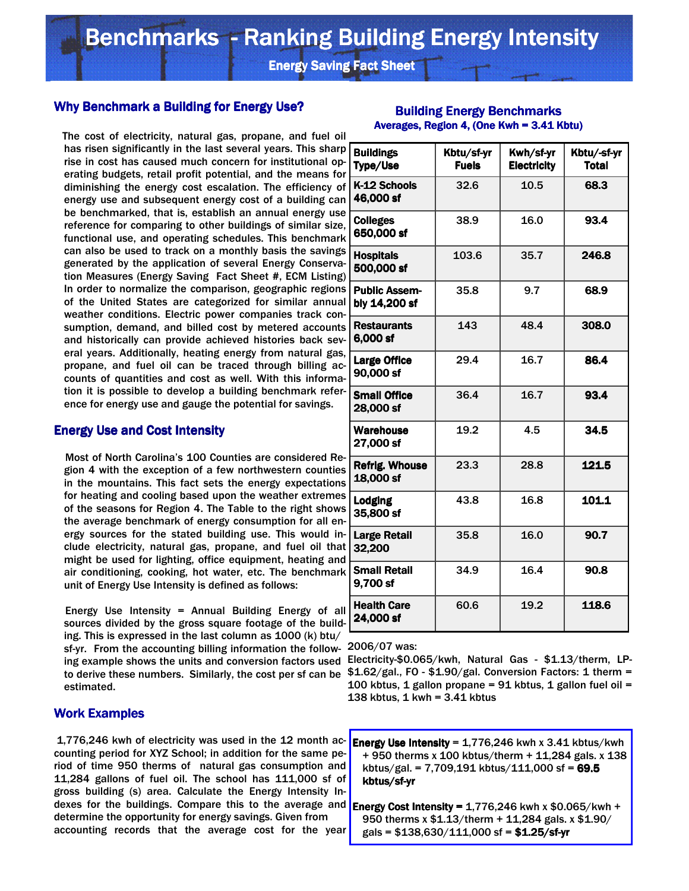**Energy Saving Fact Sheet** 

# Why Benchmark a Building for Energy Use?

 The cost of electricity, natural gas, propane, and fuel oil has risen significantly in the last several years. This sharp rise in cost has caused much concern for institutional operating budgets, retail profit potential, and the means for diminishing the energy cost escalation. The efficiency of energy use and subsequent energy cost of a building can be benchmarked, that is, establish an annual energy use reference for comparing to other buildings of similar size, functional use, and operating schedules. This benchmark can also be used to track on a monthly basis the savings generated by the application of several Energy Conservation Measures (Energy Saving Fact Sheet #, ECM Listing) In order to normalize the comparison, geographic regions of the United States are categorized for similar annual weather conditions. Electric power companies track consumption, demand, and billed cost by metered accounts and historically can provide achieved histories back several years. Additionally, heating energy from natural gas, propane, and fuel oil can be traced through billing accounts of quantities and cost as well. With this information it is possible to develop a building benchmark reference for energy use and gauge the potential for savings.

## Energy Use and Cost Intensity

 Most of North Carolina's 100 Counties are considered Region 4 with the exception of a few northwestern counties in the mountains. This fact sets the energy expectations for heating and cooling based upon the weather extremes of the seasons for Region 4. The Table to the right shows the average benchmark of energy consumption for all energy sources for the stated building use. This would include electricity, natural gas, propane, and fuel oil that might be used for lighting, office equipment, heating and air conditioning, cooking, hot water, etc. The benchmark unit of Energy Use Intensity is defined as follows:

 Energy Use Intensity = Annual Building Energy of all sources divided by the gross square footage of the building. This is expressed in the last column as 1000 (k) btu/ sf-yr. From the accounting billing information the follow-2006/07 was: ing example shows the units and conversion factors used Electricity-\$0.065/kwh, Natural Gas - \$1.13/therm, LP estimated.

#### **Work Examples**

1,776,246 kwh of electricity was used in the 12 month ac- $\text{Energy Use Intensity} = 1,776,246$  kwh x 3.41 kbtus/kwh counting period for XYZ School; in addition for the same period of time 950 therms of natural gas consumption and 11,284 gallons of fuel oil. The school has 111,000 sf of gross building (s) area. Calculate the Energy Intensity Indexes for the buildings. Compare this to the average and determine the opportunity for energy savings. Given from accounting records that the average cost for the year

| <b>Buildings</b><br><b>Type/Use</b>   | Kbtu/sf-yr<br><b>Fuels</b> | Kwh/sf-yr<br><b>Electricity</b> | Kbtu/-sf-yr<br><b>Total</b> |
|---------------------------------------|----------------------------|---------------------------------|-----------------------------|
| K-12 Schools<br>46,000 sf             | 32.6                       | 10.5                            | 68.3                        |
| <b>Colleges</b><br>650,000 sf         | 38.9                       | 16.0                            | 93.4                        |
| <b>Hospitals</b><br>500,000 sf        | 103.6                      | 35.7                            | 246.8                       |
| <b>Public Assem-</b><br>bly 14,200 sf | 35.8                       | 9.7                             | 68.9                        |
| <b>Restaurants</b><br>6,000 sf        | 143                        | 48.4                            | 308.0                       |
| <b>Large Office</b><br>90,000 sf      | 29.4                       | 16.7                            | 86.4                        |
| <b>Small Office</b><br>28,000 sf      | 36.4                       | 16.7                            | 93.4                        |
| <b>Warehouse</b><br>27,000 sf         | 19.2                       | 4.5                             | 34.5                        |
| <b>Refrig. Whouse</b><br>18,000 sf    | 23.3                       | 28.8                            | 121.5                       |
| <b>Lodging</b><br>35,800 sf           | 43.8                       | 16.8                            | 101.1                       |
| <b>Large Retail</b><br>32,200         | 35.8                       | 16.0                            | 90.7                        |
| <b>Small Retail</b><br>9,700 sf       | 34.9                       | 16.4                            | 90.8                        |
| <b>Health Care</b><br>24,000 sf       | 60.6                       | 19.2                            | 118.6                       |

#### **Building Energy Benchmarks** Averages, Region 4, (One Kwh = 3.41 Kbtu)

to derive these numbers. Similarly, the cost per sf can be \$1.62/gal., FO - \$1.90/gal. Conversion Factors: 1 therm = 100 kbtus, 1 gallon propane =  $91$  kbtus, 1 gallon fuel oil = 138 kbtus, 1 kwh = 3.41 kbtus

> + 950 therms x 100 kbtus/therm + 11,284 gals. x 138 kbtus/gal. = 7,709,191 kbtus/111,000 sf = 69.5 kbtus/sf-yr

Energy Cost Intensity =  $1,776,246$  kwh x \$0.065/kwh + 950 therms x \$1.13/therm + 11,284 gals. x \$1.90/ gals =  $$138,630/111,000$  sf =  $$1.25/sf-yr$